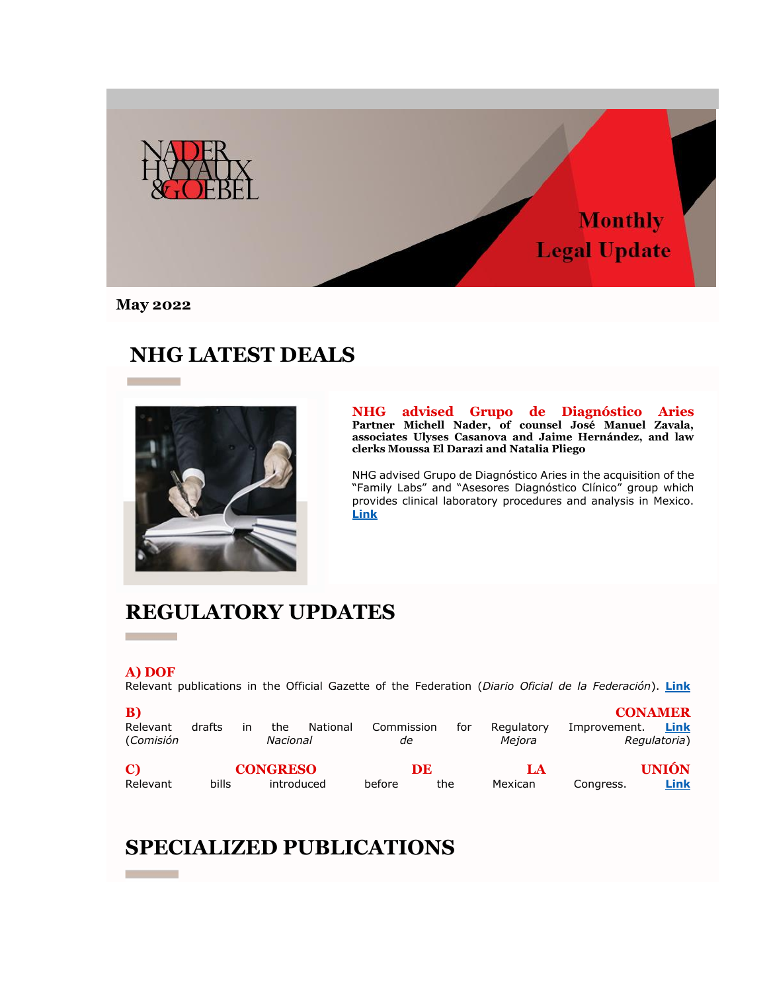

**May 2022**

# **NHG LATEST DEALS**



**NHG advised Grupo de Diagnóstico Aries Partner Michell Nader, of counsel José Manuel Zavala, associates Ulyses Casanova and Jaime Hernández, and law clerks Moussa El Darazi and Natalia Pliego** 

NHG advised Grupo de Diagnóstico Aries in the acquisition of the "Family Labs" and "Asesores Diagnóstico Clínico" group which provides clinical laboratory procedures and analysis in Mexico. **[Link](https://nhg335.lt.acemlnb.com/Prod/link-tracker?notrack=1&redirectUrl=aHR0cHMlM0ElMkYlMkZ3d3cubmhnLm14JTJGZW5fZ2IlMkZjYXNlJTJGbmhnLWFkdmlzZWQtb24tZ3J1cG8tZGUtZGlhZ25vc3RpY28tYXJpZXMlMkY=&sig=2bcWHTAKMYfsoM74kZHpPyThy7s59tzHPGnqfod3iiuy&iat=1654802410&a=%7C%7C25487300%7C%7C&account=nhg335%2Eactivehosted%2Ecom&email=sf%2FV9l4ieKNMOZdeVagRzQ%3D%3D&s=ccd1870a579f2011876aca44733daec7&i=177A249A6A1822)**

### **REGULATORY UPDATES**

#### **A) DOF**

m.

Relevant publications in the Official Gazette of the Federation (*Diario Oficial de la Federación*). **[Link](https://nhg335.lt.acemlnb.com/Prod/link-tracker?notrack=1&redirectUrl=aHR0cHMlM0ElMkYlMkZ3d3cubmhnLm14JTJGd3AtY29udGVudCUyRnVwbG9hZHMlMkYyMDIyJTJGMDUlMkZOSEctOTM5ODUtdjgtQWN0dWFsaXphY2lvbl9Ob3JtYXRpdmFfLV9BYnJpbF8yMDIyX0EtMy5wZGY=&sig=BiAHNoZ5EAL1BKZqZtuKmobpZU6G6T8wz99YbySvJTBr&iat=1654802410&a=%7C%7C25487300%7C%7C&account=nhg335%2Eactivehosted%2Ecom&email=sf%2FV9l4ieKNMOZdeVagRzQ%3D%3D&s=ccd1870a579f2011876aca44733daec7&i=177A249A6A1828)**

| B)<br>Relevant<br>(Comisión | drafts | ın | the<br>Nacional               | National | Commission | аe        | for | Regulatory<br>Mejora | Improvement. | <b>CONAMER</b><br>Link<br>Regulatoria) |
|-----------------------------|--------|----|-------------------------------|----------|------------|-----------|-----|----------------------|--------------|----------------------------------------|
| $\mathbf{C}$<br>Relevant    | bills  |    | <b>CONGRESO</b><br>introduced |          | before     | DE<br>the |     | LA<br>Mexican        | Congress.    | <b>UNIÓN</b><br>Link                   |

# **SPECIALIZED PUBLICATIONS**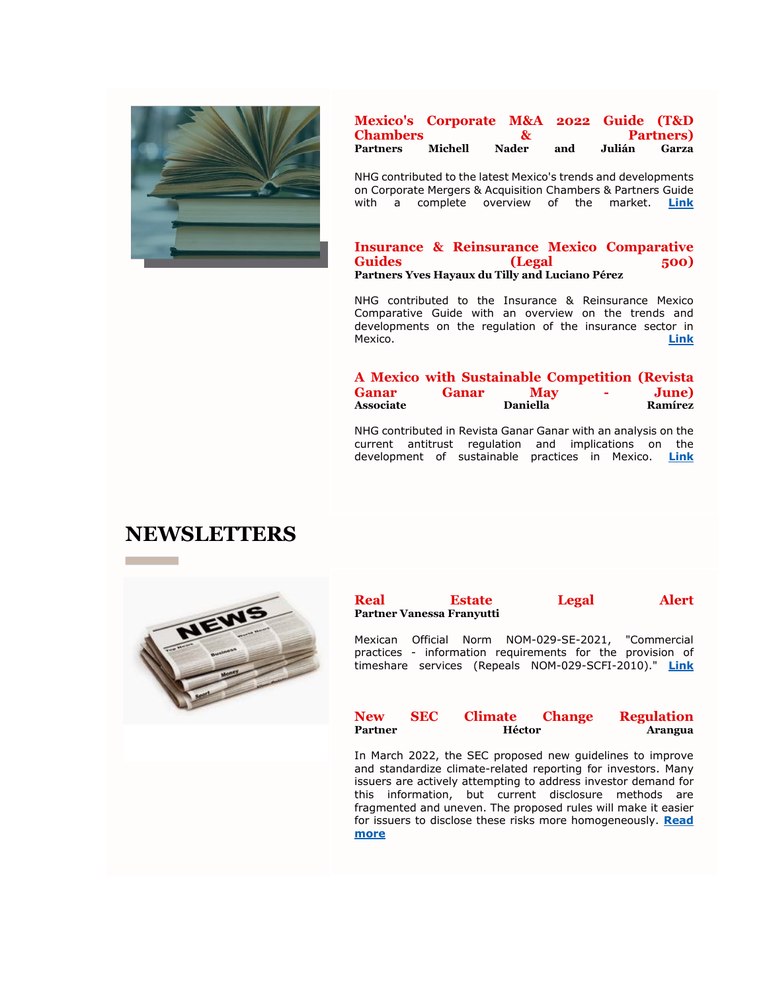

### **Mexico's Corporate M&A 2022 Guide (T&D Chambers & Partners) Partners Michell Nader and Julián Garza**

NHG contributed to the latest Mexico's trends and developments on Corporate Mergers & Acquisition Chambers & Partners Guide with a complete overview of the market. **[Link](https://nhg335.lt.acemlnb.com/Prod/link-tracker?notrack=1&redirectUrl=aHR0cHMlM0ElMkYlMkZ3d3cubmhnLm14JTJGd3AtY29udGVudCUyRnVwbG9hZHMlMkYyMDIyJTJGMDUlMkYwMzVfTUVYSUNPLVRELnBkZg==&sig=3vMzxBt2J3S6JVoMbMpSrKzbLXEsB9vgNQAPMtoaxoF5&iat=1654802410&a=%7C%7C25487300%7C%7C&account=nhg335%2Eactivehosted%2Ecom&email=sf%2FV9l4ieKNMOZdeVagRzQ%3D%3D&s=ccd1870a579f2011876aca44733daec7&i=177A249A6A1832)**

#### **Insurance & Reinsurance Mexico Comparative Guides** (Legal 500) **Partners Yves Hayaux du Tilly and Luciano Pérez**

NHG contributed to the Insurance & Reinsurance Mexico Comparative Guide with an overview on the trends and developments on the regulation of the insurance sector in Mexico. **[Link](https://nhg335.lt.acemlnb.com/Prod/link-tracker?notrack=1&redirectUrl=aHR0cHMlM0ElMkYlMkZ3d3cubGVnYWw1MDAuY29tJTJGZ3VpZGVzJTJGY2hhcHRlciUyRm1leGljby1pbnN1cmFuY2UtcmVpbnN1cmFuY2UlMkYlM0ZleHBvcnQtcGRm&sig=3m3YvAfD9wZsTGrmvFCuyhnLGogsmBdNbGzbV2o1huT4&iat=1654802410&a=%7C%7C25487300%7C%7C&account=nhg335%2Eactivehosted%2Ecom&email=sf%2FV9l4ieKNMOZdeVagRzQ%3D%3D&s=ccd1870a579f2011876aca44733daec7&i=177A249A6A1824)**

|                  |              | A Mexico with Sustainable Competition (Revista |                 |               |
|------------------|--------------|------------------------------------------------|-----------------|---------------|
| <b>Ganar</b>     | <b>Ganar</b> | <b>May</b>                                     | $\sim$ 10 $\pm$ | <b>June</b> ) |
| <b>Associate</b> |              | <b>Daniella</b>                                |                 | Ramírez       |

NHG contributed in Revista Ganar Ganar with an analysis on the current antitrust regulation and implications on the development of sustainable practices in Mexico. **[Link](https://nhg335.lt.acemlnb.com/Prod/link-tracker?notrack=1&redirectUrl=aHR0cHMlM0ElMkYlMkZnYW5hci1nYW5hci5teCUyRnJldmlzdGEtZW4tbGluZWEtcGFyYS1sZWN0dXJhLWxpYnJlLTIlMkY=&sig=76t5bZ6EqFdALU9xZvuPZUveaVHio7N1T3DaLdH35s25&iat=1654802410&a=%7C%7C25487300%7C%7C&account=nhg335%2Eactivehosted%2Ecom&email=sf%2FV9l4ieKNMOZdeVagRzQ%3D%3D&s=ccd1870a579f2011876aca44733daec7&i=177A249A6A1825)**

### **NEWSLETTERS**



**Real Estate Legal Alert Partner Vanessa Franyutti**

Mexican Official Norm NOM-029-SE-2021, "Commercial practices - information requirements for the provision of timeshare services (Repeals NOM-029-SCFI-2010)." **[Link](https://nhg335.lt.acemlnb.com/Prod/link-tracker?notrack=1&redirectUrl=aHR0cHMlM0ElMkYlMkZ3d3cubmhnLm14JTJGZW5fZ2IlMkZub3JtYS1vZmljaWFsLW1leGljYW5hLW5vbS0wMjktc2UtMjAyMS1wcmFjdGljYXMtY29tZXJjaWFsZXMtcmVxdWlzaXRvcy1pbmZvcm1hdGl2b3MtcGFyYS1sYS1wcmVzdGFjaW9uLWRlbC1zZXJ2aWNpby1kZS10aWVtcG8tY29tcGFydGlkby1udWV2YS1ub20lMkY=&sig=GtFrkkCkr5RZgscH7mKiuftRZXaCaeuosD1DJG2zAqDw&iat=1654802410&a=%7C%7C25487300%7C%7C&account=nhg335%2Eactivehosted%2Ecom&email=sf%2FV9l4ieKNMOZdeVagRzQ%3D%3D&s=ccd1870a579f2011876aca44733daec7&i=177A249A6A1827)**

| <b>New</b> | <b>SEC</b> | <b>Climate</b> | <b>Change</b>  | <b>Regulation</b> |
|------------|------------|----------------|----------------|-------------------|
| Partner    |            | Héctor         | <b>Arangua</b> |                   |

In March 2022, the SEC proposed new guidelines to improve and standardize climate-related reporting for investors. Many issuers are actively attempting to address investor demand for this information, but current disclosure methods are fragmented and uneven. The proposed rules will make it easier for issuers to disclose these risks more homogeneously. **[Read](https://nhg335.lt.acemlnb.com/Prod/link-tracker?notrack=1&redirectUrl=aHR0cHMlM0ElMkYlMkZ3d3cubmhnLm14JTJGZW5fZ2IlMkZsYS1jb21pc2lvbi1kZS12YWxvcmVzLWRlLWxvcy1lc3RhZG9zLXVuaWRvcy1zZWMtcHJlc2VudGEtdW5hLXByb3B1ZXN0YS1kZS1yZWdsYXMtc29icmUtbGEtcHVibGljYWNpb24tZGUtaW5mb3JtYWNpb24tc29icmUtZWwtY2FtYmlvLWNsaW1hdGljbyUyRg==&sig=DXtuXwGWERDpPafi97gZ4DkhT6RQBeLBq785s9rbsX2k&iat=1654802410&a=%7C%7C25487300%7C%7C&account=nhg335%2Eactivehosted%2Ecom&email=sf%2FV9l4ieKNMOZdeVagRzQ%3D%3D&s=ccd1870a579f2011876aca44733daec7&i=177A249A6A1831)  [more](https://nhg335.lt.acemlnb.com/Prod/link-tracker?notrack=1&redirectUrl=aHR0cHMlM0ElMkYlMkZ3d3cubmhnLm14JTJGZW5fZ2IlMkZsYS1jb21pc2lvbi1kZS12YWxvcmVzLWRlLWxvcy1lc3RhZG9zLXVuaWRvcy1zZWMtcHJlc2VudGEtdW5hLXByb3B1ZXN0YS1kZS1yZWdsYXMtc29icmUtbGEtcHVibGljYWNpb24tZGUtaW5mb3JtYWNpb24tc29icmUtZWwtY2FtYmlvLWNsaW1hdGljbyUyRg==&sig=DXtuXwGWERDpPafi97gZ4DkhT6RQBeLBq785s9rbsX2k&iat=1654802410&a=%7C%7C25487300%7C%7C&account=nhg335%2Eactivehosted%2Ecom&email=sf%2FV9l4ieKNMOZdeVagRzQ%3D%3D&s=ccd1870a579f2011876aca44733daec7&i=177A249A6A1831)**